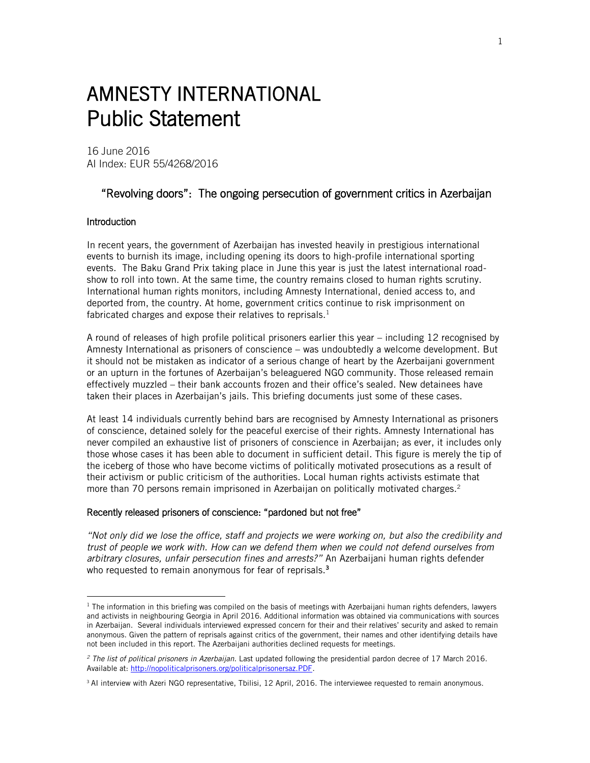# AMNESTY INTERNATIONAL Public Statement

16 June 2016 AI Index: EUR 55/4268/2016

# "Revolving doors": The ongoing persecution of government critics in Azerbaijan

### Introduction

 $\overline{a}$ 

In recent years, the government of Azerbaijan has invested heavily in prestigious international events to burnish its image, including opening its doors to high-profile international sporting events. The Baku Grand Prix taking place in June this year is just the latest international roadshow to roll into town. At the same time, the country remains closed to human rights scrutiny. International human rights monitors, including Amnesty International, denied access to, and deported from, the country. At home, government critics continue to risk imprisonment on fabricated charges and expose their relatives to reprisals. $<sup>1</sup>$ </sup>

A round of releases of high profile political prisoners earlier this year – including 12 recognised by Amnesty International as prisoners of conscience – was undoubtedly a welcome development. But it should not be mistaken as indicator of a serious change of heart by the Azerbaijani government or an upturn in the fortunes of Azerbaijan's beleaguered NGO community. Those released remain effectively muzzled – their bank accounts frozen and their office's sealed. New detainees have taken their places in Azerbaijan's jails. This briefing documents just some of these cases.

At least 14 individuals currently behind bars are recognised by Amnesty International as prisoners of conscience, detained solely for the peaceful exercise of their rights. Amnesty International has never compiled an exhaustive list of prisoners of conscience in Azerbaijan; as ever, it includes only those whose cases it has been able to document in sufficient detail. This figure is merely the tip of the iceberg of those who have become victims of politically motivated prosecutions as a result of their activism or public criticism of the authorities. Local human rights activists estimate that more than 70 persons remain imprisoned in Azerbaijan on politically motivated charges.<sup>2</sup>

#### Recently released prisoners of conscience: "pardoned but not free"

*"Not only did we lose the office, staff and projects we were working on, but also the credibility and trust of people we work with. How can we defend them when we could not defend ourselves from arbitrary closures, unfair persecution fines and arrests?"* An Azerbaijani human rights defender who requested to remain anonymous for fear of reprisals.<sup>3</sup>

 $1$  The information in this briefing was compiled on the basis of meetings with Azerbaijani human rights defenders, lawyers and activists in neighbouring Georgia in April 2016. Additional information was obtained via communications with sources in Azerbaijan. Several individuals interviewed expressed concern for their and their relatives' security and asked to remain anonymous. Given the pattern of reprisals against critics of the government, their names and other identifying details have not been included in this report. The Azerbaijani authorities declined requests for meetings.

*<sup>2</sup> The list of political prisoners in Azerbaijan*. Last updated following the presidential pardon decree of 17 March 2016. Available at: [http://nopoliticalprisoners.org/politicalprisonersaz.PDF.](http://nopoliticalprisoners.org/politicalprisonersaz.PDF)

<sup>&</sup>lt;sup>3</sup> AI interview with Azeri NGO representative, Tbilisi, 12 April, 2016. The interviewee requested to remain anonymous.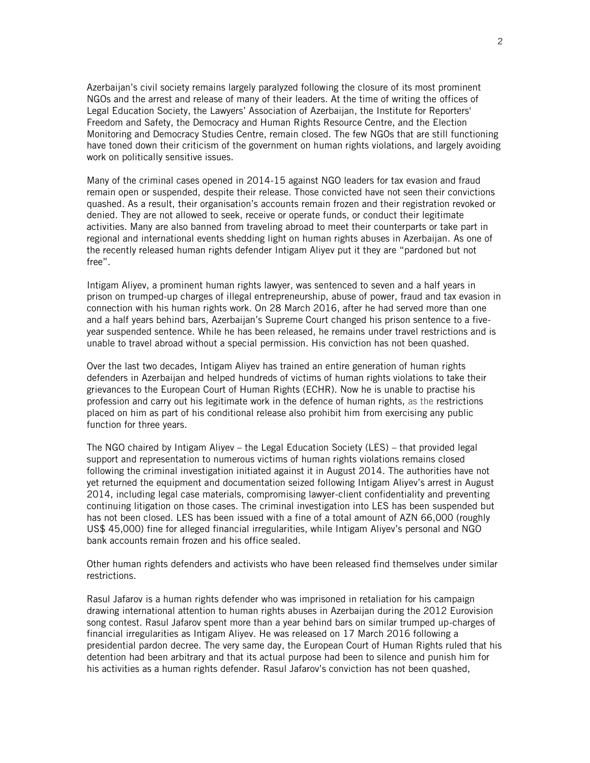Azerbaijan's civil society remains largely paralyzed following the closure of its most prominent NGOs and the arrest and release of many of their leaders. At the time of writing the offices of Legal Education Society, the Lawyers' Association of Azerbaijan, the [Institute for Reporters'](https://www.google.co.uk/url?sa=t&rct=j&q=&esrc=s&source=web&cd=3&cad=rja&uact=8&ved=0ahUKEwjSmZCW3d7MAhVqCpoKHVxDCTAQFggkMAI&url=http%3A%2F%2Fwww.irfs.org%2F%3Flang%3Deng&usg=AFQjCNFn0GycJ6c3aiD9ZR4Th_fmdzneVw&bvm=bv.122129774,d.bGs)  [Freedom and Safety,](https://www.google.co.uk/url?sa=t&rct=j&q=&esrc=s&source=web&cd=3&cad=rja&uact=8&ved=0ahUKEwjSmZCW3d7MAhVqCpoKHVxDCTAQFggkMAI&url=http%3A%2F%2Fwww.irfs.org%2F%3Flang%3Deng&usg=AFQjCNFn0GycJ6c3aiD9ZR4Th_fmdzneVw&bvm=bv.122129774,d.bGs) the Democracy and Human Rights Resource Centre, and the Election Monitoring and Democracy Studies Centre, remain closed. The few NGOs that are still functioning have toned down their criticism of the government on human rights violations, and largely avoiding work on politically sensitive issues.

Many of the criminal cases opened in 2014-15 against NGO leaders for tax evasion and fraud remain open or suspended, despite their release. Those convicted have not seen their convictions quashed. As a result, their organisation's accounts remain frozen and their registration revoked or denied. They are not allowed to seek, receive or operate funds, or conduct their legitimate activities. Many are also banned from traveling abroad to meet their counterparts or take part in regional and international events shedding light on human rights abuses in Azerbaijan. As one of the recently released human rights defender Intigam Aliyev put it they are "pardoned but not free".

Intigam Aliyev, a prominent human rights lawyer, was sentenced to seven and a half years in prison on trumped-up charges of illegal entrepreneurship, abuse of power, fraud and tax evasion in connection with his human rights work. On 28 March 2016, after he had served more than one and a half years behind bars, Azerbaijan's Supreme Court changed his prison sentence to a fiveyear suspended sentence. While he has been released, he remains under travel restrictions and is unable to travel abroad without a special permission. His conviction has not been quashed.

Over the last two decades, Intigam Aliyev has trained an entire generation of human rights defenders in Azerbaijan and helped hundreds of victims of human rights violations to take their grievances to the European Court of Human Rights (ECHR). Now he is unable to practise his profession and carry out his legitimate work in the defence of human rights, as the restrictions placed on him as part of his conditional release also prohibit him from exercising any public function for three years.

The NGO chaired by Intigam Aliyev – the Legal Education Society (LES) – that provided legal support and representation to numerous victims of human rights violations remains closed following the criminal investigation initiated against it in August 2014. The authorities have not yet returned the equipment and documentation seized following Intigam Aliyev's arrest in August 2014, including legal case materials, compromising lawyer-client confidentiality and preventing continuing litigation on those cases. The criminal investigation into LES has been suspended but has not been closed. LES has been issued with a fine of a total amount of AZN 66,000 (roughly US\$ 45,000) fine for alleged financial irregularities, while Intigam Aliyev's personal and NGO bank accounts remain frozen and his office sealed.

Other human rights defenders and activists who have been released find themselves under similar restrictions.

Rasul Jafarov is a human rights defender who was imprisoned in retaliation for his campaign drawing international attention to human rights abuses in Azerbaijan during the 2012 Eurovision song contest. Rasul Jafarov spent more than a year behind bars on similar trumped up-charges of financial irregularities as Intigam Aliyev. He was released on 17 March 2016 following a presidential pardon decree. The very same day, the European Court of Human Rights ruled that his detention had been arbitrary and that its actual purpose had been to silence and punish him for his activities as a human rights defender. Rasul Jafarov's conviction has not been quashed,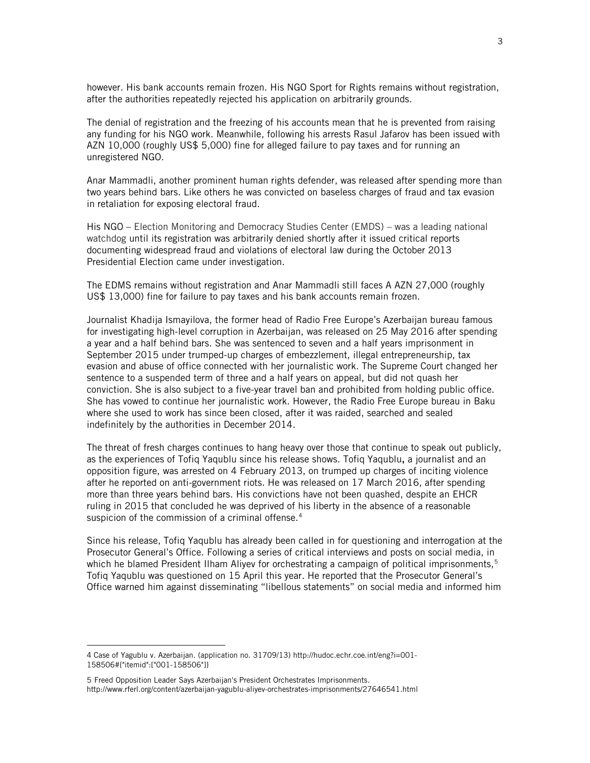however. His bank accounts remain frozen. His NGO Sport for Rights remains without registration, after the authorities repeatedly rejected his application on arbitrarily grounds.

The denial of registration and the freezing of his accounts mean that he is prevented from raising any funding for his NGO work. Meanwhile, following his arrests Rasul Jafarov has been issued with AZN 10,000 (roughly US\$ 5,000) fine for alleged failure to pay taxes and for running an unregistered NGO.

Anar Mammadli, another prominent human rights defender, was released after spending more than two years behind bars. Like others he was convicted on baseless charges of fraud and tax evasion in retaliation for exposing electoral fraud.

His NGO – Election Monitoring and Democracy Studies Center (EMDS) – was a leading national watchdog until its registration was arbitrarily denied shortly after it issued critical reports documenting widespread fraud and violations of electoral law during the October 2013 Presidential Election came under investigation.

The EDMS remains without registration and Anar Mammadli still faces A AZN 27,000 (roughly US\$ 13,000) fine for failure to pay taxes and his bank accounts remain frozen.

Journalist Khadija Ismayilova, the former head of Radio Free Europe's Azerbaijan bureau famous for investigating high-level corruption in Azerbaijan, was released on 25 May 2016 after spending a year and a half behind bars. She was sentenced to seven and a half years imprisonment in September 2015 under trumped-up charges of embezzlement, illegal entrepreneurship, tax evasion and abuse of office connected with her journalistic work. The Supreme Court changed her sentence to a suspended term of three and a half years on appeal, but did not quash her conviction. She is also subject to a five-year travel ban and prohibited from holding public office. She has vowed to continue her journalistic work. However, the Radio Free Europe bureau in Baku where she used to work has since been closed, after it was raided, searched and sealed indefinitely by the authorities in December 2014.

The threat of fresh charges continues to hang heavy over those that continue to speak out publicly, as the experiences of Tofiq Yaqublu since his release shows. Tofiq Yaqublu, a journalist and an opposition figure, was arrested on 4 February 2013, on trumped up charges of inciting violence after he reported on anti-government riots. He was released on 17 March 2016, after spending more than three years behind bars. His convictions have not been quashed, despite an EHCR ruling in 2015 that concluded he was deprived of his liberty in the absence of a reasonable suspicion of the commission of a criminal offense.<sup>4</sup>

Since his release, Tofiq Yaqublu has already been called in for questioning and interrogation at the Prosecutor General's Office. Following a series of critical interviews and posts on social media, in which he blamed President Ilham Aliyev for orchestrating a campaign of political imprisonments,<sup>5</sup> Tofiq Yaqublu was questioned on 15 April this year. He reported that the Prosecutor General's Office warned him against disseminating "libellous statements" on social media and informed him

<sup>4</sup> Case of Yagublu v. Azerbaijan. (application no. 31709/13) [http://hudoc.echr.coe.int/eng?i=001-](http://hudoc.echr.coe.int/eng?i=001-158506#{"itemid":["001-158506"]}) [158506#{"itemid":\["001-158506"\]}](http://hudoc.echr.coe.int/eng?i=001-158506#{"itemid":["001-158506"]})

<sup>5</sup> Freed Opposition Leader Says Azerbaijan's President Orchestrates Imprisonments. <http://www.rferl.org/content/azerbaijan-yagublu-aliyev-orchestrates-imprisonments/27646541.html>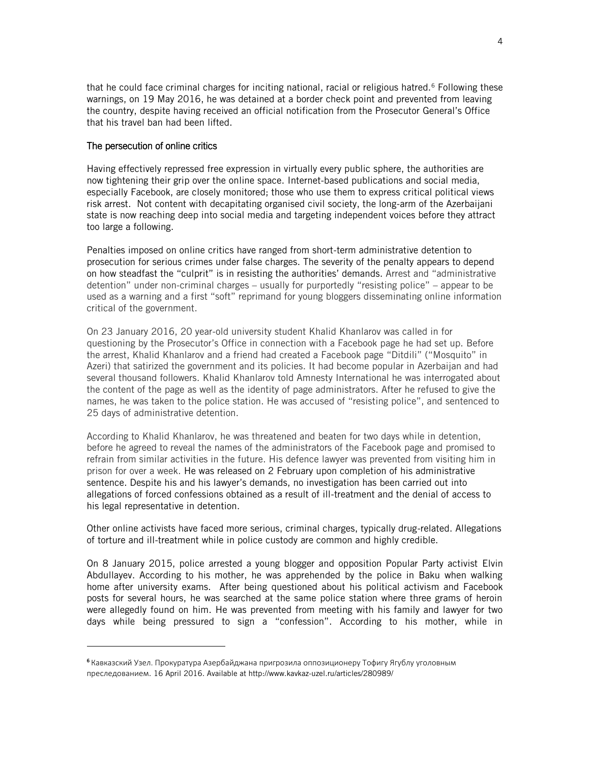that he could face criminal charges for inciting national, racial or religious hatred.<sup>6</sup> Following these warnings, on 19 May 2016, he was detained at a border check point and prevented from leaving the country, despite having received an official notification from the Prosecutor General's Office that his travel ban had been lifted.

### The persecution of online critics

 $\overline{a}$ 

Having effectively repressed free expression in virtually every public sphere, the authorities are now tightening their grip over the online space. Internet-based publications and social media, especially Facebook, are closely monitored; those who use them to express critical political views risk arrest. Not content with decapitating organised civil society, the long-arm of the Azerbaijani state is now reaching deep into social media and targeting independent voices before they attract too large a following.

Penalties imposed on online critics have ranged from short-term administrative detention to prosecution for serious crimes under false charges. The severity of the penalty appears to depend on how steadfast the "culprit" is in resisting the authorities' demands. Arrest and "administrative detention" under non-criminal charges – usually for purportedly "resisting police" – appear to be used as a warning and a first "soft" reprimand for young bloggers disseminating online information critical of the government.

On 23 January 2016, 20 year-old university student Khalid Khanlarov was called in for questioning by the Prosecutor's Office in connection with a Facebook page he had set up. Before the arrest, Khalid Khanlarov and a friend had created a Facebook page "Ditdili" ("Mosquito" in Azeri) that satirized the government and its policies. It had become popular in Azerbaijan and had several thousand followers. Khalid Khanlarov told Amnesty International he was interrogated about the content of the page as well as the identity of page administrators. After he refused to give the names, he was taken to the police station. He was accused of "resisting police", and sentenced to 25 days of administrative detention.

According to Khalid Khanlarov, he was threatened and beaten for two days while in detention, before he agreed to reveal the names of the administrators of the Facebook page and promised to refrain from similar activities in the future. His defence lawyer was prevented from visiting him in prison for over a week. He was released on 2 February upon completion of his administrative sentence. Despite his and his lawyer's demands, no investigation has been carried out into allegations of forced confessions obtained as a result of ill-treatment and the denial of access to his legal representative in detention.

Other online activists have faced more serious, criminal charges, typically drug-related. Allegations of torture and ill-treatment while in police custody are common and highly credible.

On 8 January 2015, police arrested a young blogger and opposition Popular Party activist Elvin Abdullayev. According to his mother, he was apprehended by the police in Baku when walking home after university exams. After being questioned about his political activism and Facebook posts for several hours, he was searched at the same police station where three grams of heroin were allegedly found on him. He was prevented from meeting with his family and lawyer for two days while being pressured to sign a "confession". According to his mother, while in

<sup>6</sup> Кавказский Узел. Прокуратура Азербайджана пригрозила оппозиционеру Тофигу Ягублу уголовным преследованием. 16 April 2016. Available at<http://www.kavkaz-uzel.ru/articles/280989/>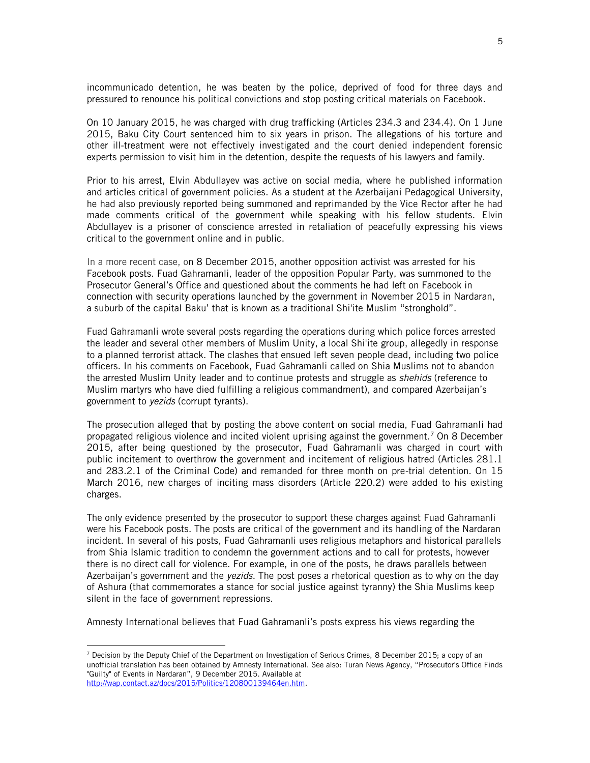incommunicado detention, he was beaten by the police, deprived of food for three days and pressured to renounce his political convictions and stop posting critical materials on Facebook.

On 10 January 2015, he was charged with drug trafficking (Articles 234.3 and 234.4). On 1 June 2015, Baku City Court sentenced him to six years in prison. The allegations of his torture and other ill-treatment were not effectively investigated and the court denied independent forensic experts permission to visit him in the detention, despite the requests of his lawyers and family.

Prior to his arrest, Elvin Abdullayev was active on social media, where he published information and articles critical of government policies. As a student at the Azerbaijani Pedagogical University, he had also previously reported being summoned and reprimanded by the Vice Rector after he had made comments critical of the government while speaking with his fellow students. Elvin Abdullayev is a prisoner of conscience arrested in retaliation of peacefully expressing his views critical to the government online and in public.

In a more recent case, on 8 December 2015, another opposition activist was arrested for his Facebook posts. Fuad Gahramanli, leader of the opposition Popular Party, was summoned to the Prosecutor General's Office and questioned about the comments he had left on Facebook in connection with security operations launched by the government in November 2015 in Nardaran, a suburb of the capital Baku' that is known as a traditional Shi'ite Muslim "stronghold".

Fuad Gahramanli wrote several posts regarding the operations during which police forces arrested the leader and several other members of Muslim Unity, a local Shi'ite group, allegedly in response to a planned terrorist attack. The clashes that ensued left seven people dead, including two police officers. In his comments on Facebook, Fuad Gahramanli called on Shia Muslims not to abandon the arrested Muslim Unity leader and to continue protests and struggle as *shehids* (reference to Muslim martyrs who have died fulfilling a religious commandment), and compared Azerbaijan's government to *yezids* (corrupt tyrants).

The prosecution alleged that by posting the above content on social media, Fuad Gahramanli had propagated religious violence and incited violent uprising against the government.<sup>7</sup> On 8 December 2015, after being questioned by the prosecutor, Fuad Gahramanli was charged in court with public incitement to overthrow the government and incitement of religious hatred (Articles 281.1 and 283.2.1 of the Criminal Code) and remanded for three month on pre-trial detention. On 15 March 2016, new charges of inciting mass disorders (Article 220.2) were added to his existing charges.

The only evidence presented by the prosecutor to support these charges against Fuad Gahramanli were his Facebook posts. The posts are critical of the government and its handling of the Nardaran incident. In several of his posts, Fuad Gahramanli uses religious metaphors and historical parallels from Shia Islamic tradition to condemn the government actions and to call for protests, however there is no direct call for violence. For example, in one of the posts, he draws parallels between Azerbaijan's government and the *yezids*. The post poses a rhetorical question as to why on the day of Ashura (that commemorates [a stance for social justice](http://whoishussain.org/who-is-hussain/the-full-story/) against tyranny) the Shia Muslims keep silent in the face of government repressions.

Amnesty International believes that Fuad Gahramanli's posts express his views regarding the

 $<sup>7</sup>$  Decision by the Deputy Chief of the Department on Investigation of Serious Crimes, 8 December 2015; a copy of an</sup> unofficial translation has been obtained by Amnesty International. See also: Turan News Agency, "Prosecutor's Office Finds "Guilty" of Events in Nardaran", 9 December 2015. Available at [http://wap.contact.az/docs/2015/Politics/120800139464en.htm.](http://wap.contact.az/docs/2015/Politics/120800139464en.htm)

<sup>5</sup>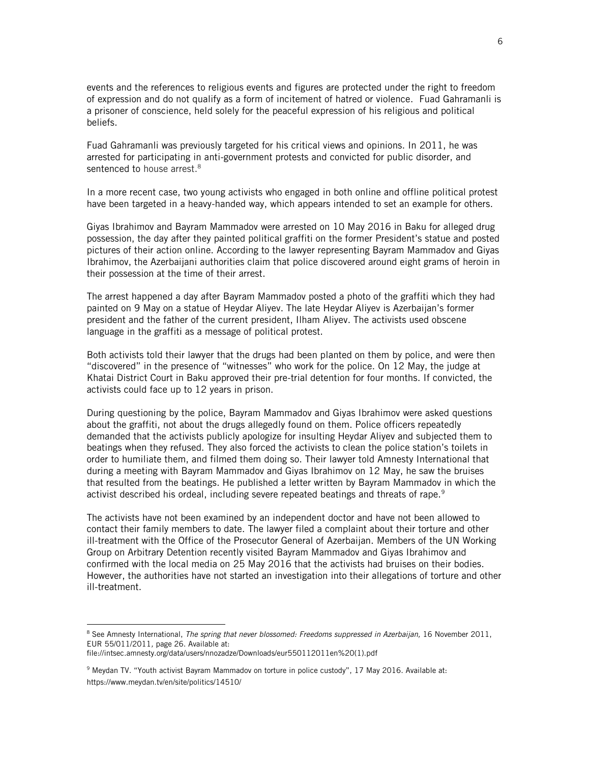events and the references to religious events and figures are protected under the right to freedom of expression and do not qualify as a form of incitement of hatred or violence. Fuad Gahramanli is a prisoner of conscience, held solely for the peaceful expression of his religious and political beliefs.

Fuad Gahramanli was previously targeted for his critical views and opinions. In 2011, he was arrested for participating in anti-government protests and convicted for public disorder, and sentenced to house arrest.<sup>8</sup>

In a more recent case, two young activists who engaged in both online and offline political protest have been targeted in a heavy-handed way, which appears intended to set an example for others.

Giyas Ibrahimov and Bayram Mammadov were arrested on 10 May 2016 in Baku for alleged drug possession, the day after they painted political graffiti on the former President's statue and posted pictures of their action online. According to the lawyer representing Bayram Mammadov and Giyas Ibrahimov, the Azerbaijani authorities claim that police discovered around eight grams of heroin in their possession at the time of their arrest.

The arrest happened a day after Bayram Mammadov posted a photo of the graffiti which they had painted on 9 May on a statue of Heydar Aliyev. The late Heydar Aliyev is Azerbaijan's former president and the father of the current president, Ilham Aliyev. The activists used obscene language in the graffiti as a message of political protest.

Both activists told their lawyer that the drugs had been planted on them by police, and were then "discovered" in the presence of "witnesses" who work for the police. On 12 May, the judge at Khatai District Court in Baku approved their pre-trial detention for four months. If convicted, the activists could face up to 12 years in prison.

During questioning by the police, Bayram Mammadov and Giyas Ibrahimov were asked questions about the graffiti, not about the drugs allegedly found on them. Police officers repeatedly demanded that the activists publicly apologize for insulting Heydar Aliyev and subjected them to beatings when they refused. They also forced the activists to clean the police station's toilets in order to humiliate them, and filmed them doing so. Their lawyer told Amnesty International that during a meeting with Bayram Mammadov and Giyas Ibrahimov on 12 May, he saw the bruises that resulted from the beatings. He published a letter written by Bayram Mammadov in which the activist described his ordeal, including severe repeated beatings and threats of rape.<sup>9</sup>

The activists have not been examined by an independent doctor and have not been allowed to contact their family members to date. The lawyer filed a complaint about their torture and other ill-treatment with the Office of the Prosecutor General of Azerbaijan. Members of the UN Working Group on Arbitrary Detention recently visited Bayram Mammadov and Giyas Ibrahimov and confirmed with the local media on 25 May 2016 that the activists had bruises on their bodies. However, the authorities have not started an investigation into their allegations of torture and other ill-treatment.

<sup>8</sup> See Amnesty International, *The spring that never blossomed: Freedoms suppressed in Azerbaijan,* 16 November 2011, EUR 55/011/2011*,* page 26. Available at:

file://intsec.amnesty.org/data/users/nnozadze/Downloads/eur550112011en%20(1).pdf

<sup>9</sup> Meydan TV. "Youth activist Bayram Mammadov on torture in police custody", 17 May 2016. Available at: https://www.meydan.tv/en/site/politics/14510/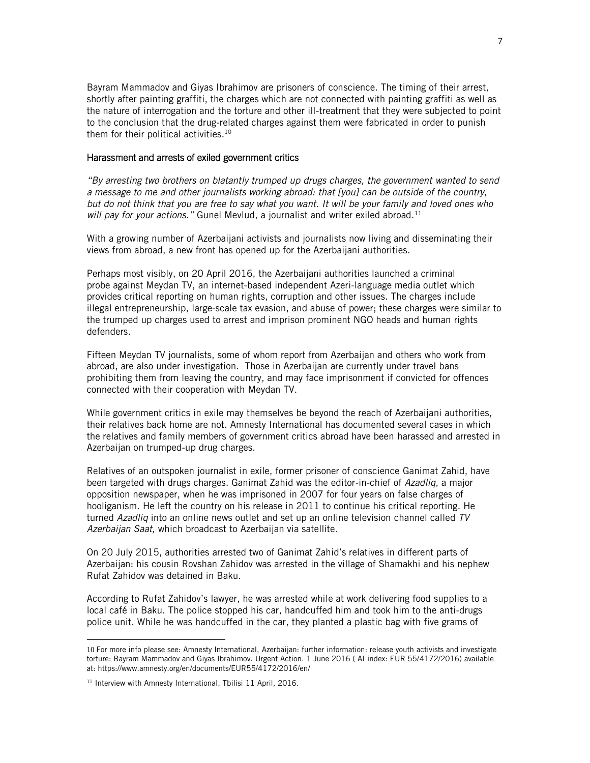Bayram Mammadov and Giyas Ibrahimov are prisoners of conscience. The timing of their arrest, shortly after painting graffiti, the charges which are not connected with painting graffiti as well as the nature of interrogation and the torture and other ill-treatment that they were subjected to point to the conclusion that the drug-related charges against them were fabricated in order to punish them for their political activities.<sup>10</sup>

#### Harassment and arrests of exiled government critics

"By arresting two brothers on blatantly trumped up drugs charges, the government wanted to send *a message to me and other journalists working abroad: that [you] can be outside of the country, but do not think that you are free to say what you want. It will be your family and loved ones who will pay for your actions.*" Gunel Mevlud, a journalist and writer exiled abroad.<sup>11</sup>

With a growing number of Azerbaijani activists and journalists now living and disseminating their views from abroad, a new front has opened up for the Azerbaijani authorities.

Perhaps most visibly, on 20 April 2016, the Azerbaijani authorities launched a criminal probe against Meydan TV, an internet-based independent Azeri-language media outlet which provides critical reporting on human rights, corruption and other issues. The charges include illegal entrepreneurship, large-scale tax evasion, and abuse of power; these charges were similar to the trumped up charges used to arrest and imprison prominent NGO heads and human rights defenders.

Fifteen Meydan TV journalists, some of whom report from Azerbaijan and others who work from abroad, are also under investigation. Those in Azerbaijan are currently under travel bans prohibiting them from leaving the country, and may face imprisonment if convicted for offences connected with their cooperation with Meydan TV.

While government critics in exile may themselves be beyond the reach of Azerbaijani authorities, their relatives back home are not. Amnesty International has documented several cases in which the relatives and family members of government critics abroad have been harassed and arrested in Azerbaijan on trumped-up drug charges.

Relatives of an outspoken journalist in exile, former prisoner of conscience Ganimat Zahid, have been targeted with drugs charges. Ganimat Zahid was the editor-in-chief of *Azadliq*, a major opposition newspaper, when he was imprisoned in 2007 for four years on false charges of hooliganism. He left the country on his release in 2011 to continue his critical reporting. He turned *Azadliq* into an online news outlet and set up an online television channel called *TV Azerbaijan Saat,* which broadcast to Azerbaijan via satellite.

On 20 July 2015, authorities arrested two of Ganimat Zahid's relatives in different parts of Azerbaijan: his cousin Rovshan Zahidov was arrested in the village of Shamakhi and his nephew Rufat Zahidov was detained in Baku.

According to Rufat Zahidov's lawyer, he was arrested while at work delivering food supplies to a local café in Baku. The police stopped his car, handcuffed him and took him to the anti-drugs police unit. While he was handcuffed in the car, they planted a plastic bag with five grams of

<sup>10</sup> For more info please see: Amnesty International, Azerbaijan: further information: release youth activists and investigate torture: Bayram Mammadov and Giyas Ibrahimov. Urgent Action. 1 June 2016 ( AI index: EUR 55/4172/2016) available at: https://www.amnesty.org/en/documents/EUR55/4172/2016/en/

<sup>&</sup>lt;sup>11</sup> Interview with Amnesty International, Tbilisi 11 April, 2016.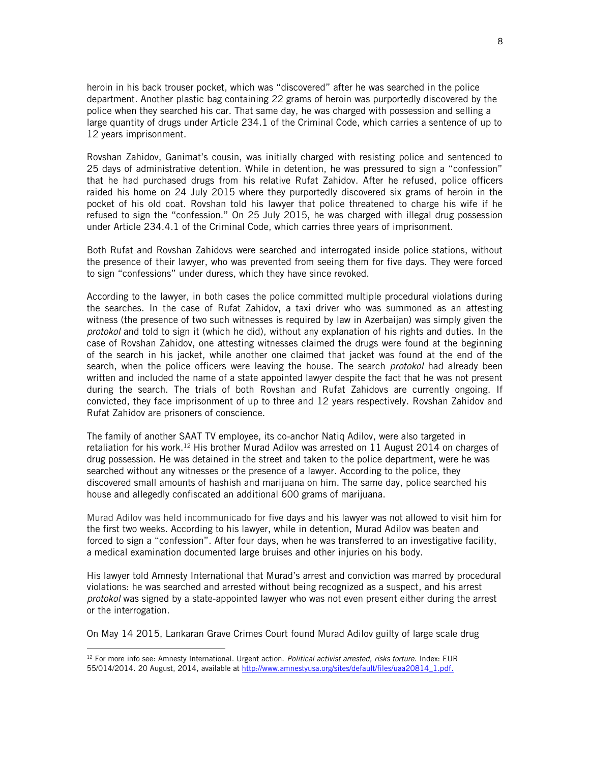heroin in his back trouser pocket, which was "discovered" after he was searched in the police department. Another plastic bag containing 22 grams of heroin was purportedly discovered by the police when they searched his car. That same day, he was charged with possession and selling a large quantity of drugs under Article 234.1 of the Criminal Code, which carries a sentence of up to 12 years imprisonment.

Rovshan Zahidov, Ganimat's cousin, was initially charged with resisting police and sentenced to 25 days of administrative detention. While in detention, he was pressured to sign a "confession" that he had purchased drugs from his relative Rufat Zahidov. After he refused, police officers raided his home on 24 July 2015 where they purportedly discovered six grams of heroin in the pocket of his old coat. Rovshan told his lawyer that police threatened to charge his wife if he refused to sign the "confession." On 25 July 2015, he was charged with illegal drug possession under Article 234.4.1 of the Criminal Code, which carries three years of imprisonment.

Both Rufat and Rovshan Zahidovs were searched and interrogated inside police stations, without the presence of their lawyer, who was prevented from seeing them for five days. They were forced to sign "confessions" under duress, which they have since revoked.

According to the lawyer, in both cases the police committed multiple procedural violations during the searches. In the case of Rufat Zahidov, a taxi driver who was summoned as an attesting witness (the presence of two such witnesses is required by law in Azerbaijan) was simply given the *protokol* and told to sign it (which he did), without any explanation of his rights and duties. In the case of Rovshan Zahidov, one attesting witnesses claimed the drugs were found at the beginning of the search in his jacket, while another one claimed that jacket was found at the end of the search, when the police officers were leaving the house. The search *protokol* had already been written and included the name of a state appointed lawyer despite the fact that he was not present during the search. The trials of both Rovshan and Rufat Zahidovs are currently ongoing. If convicted, they face imprisonment of up to three and 12 years respectively. Rovshan Zahidov and Rufat Zahidov are prisoners of conscience.

The family of another SAAT TV employee, its co-anchor Natiq Adilov, were also targeted in retaliation for his work.<sup>12</sup> His brother Murad Adilov was arrested on 11 August 2014 on charges of drug possession. He was detained in the street and taken to the police department, were he was searched without any witnesses or the presence of a lawyer. According to the police, they discovered small amounts of hashish and marijuana on him. The same day, police searched his house and allegedly confiscated an additional 600 grams of marijuana.

Murad Adilov was held incommunicado for five days and his lawyer was not allowed to visit him for the first two weeks. According to his lawyer, while in detention, Murad Adilov was beaten and forced to sign a "confession". After four days, when he was transferred to an investigative facility, a medical examination documented large bruises and other injuries on his body.

His lawyer told Amnesty International that Murad's arrest and conviction was marred by procedural violations: he was searched and arrested without being recognized as a suspect, and his arrest *protokol* was signed by a state-appointed lawyer who was not even present either during the arrest or the interrogation.

On May 14 2015, Lankaran Grave Crimes Court found Murad Adilov guilty of large scale drug

<sup>12</sup> For more info see: Amnesty International. Urgent action. *Political activist arrested, risks torture.* Index: EUR 55/014/2014. 20 August, 2014, available at http://www.amnestyusa.org/sites/default/files/uaa20814\_1.pdf.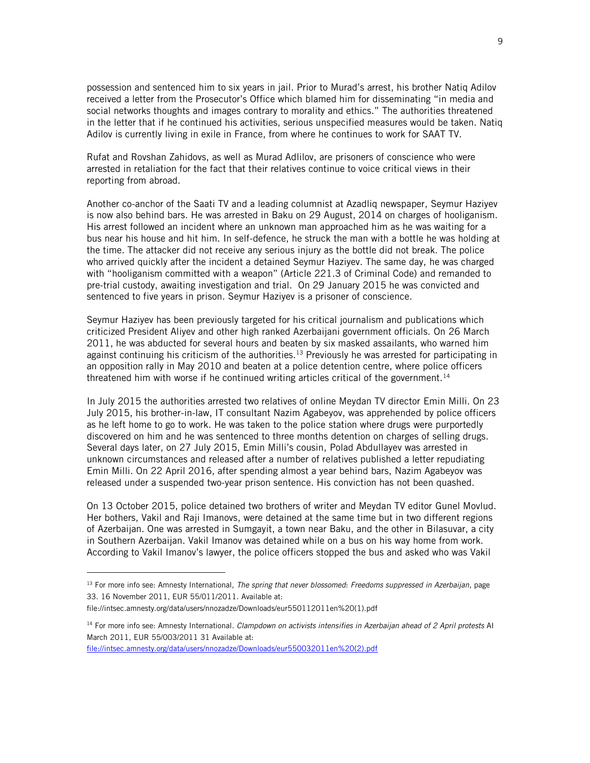possession and sentenced him to six years in jail. Prior to Murad's arrest, his brother Natiq Adilov received a letter from the Prosecutor's Office which blamed him for disseminating "in media and social networks thoughts and images contrary to morality and ethics." The authorities threatened in the letter that if he continued his activities, serious unspecified measures would be taken. Natiq Adilov is currently living in exile in France, from where he continues to work for SAAT TV.

Rufat and Rovshan Zahidovs, as well as Murad Adlilov, are prisoners of conscience who were arrested in retaliation for the fact that their relatives continue to voice critical views in their reporting from abroad.

Another co-anchor of the Saati TV and a leading columnist at Azadliq newspaper, Seymur Haziyev is now also behind bars. He was arrested in Baku on 29 August, 2014 on charges of hooliganism. His arrest followed an incident where an unknown man approached him as he was waiting for a bus near his house and hit him. In self-defence, he struck the man with a bottle he was holding at the time. The attacker did not receive any serious injury as the bottle did not break. The police who arrived quickly after the incident a detained Seymur Haziyev. The same day, he was charged with "hooliganism committed with a weapon" (Article 221.3 of Criminal Code) and remanded to pre-trial custody, awaiting investigation and trial. On 29 January 2015 he was [convicted](http://www.hrw.org/news/2015/01/30/dispatches-jail-beckons-azerbaijani-journalist) and sentenced to five years in prison. Seymur Haziyev is a prisoner of conscience.

Seymur Haziyev has been previously targeted for his critical journalism and publications which criticized President Aliyev and other high ranked Azerbaijani government officials. On 26 March 2011, he was abducted for several hours and beaten by six masked assailants, who warned him against continuing his criticism of the authorities.<sup>13</sup> Previously he was arrested for participating in an opposition rally in May 2010 and beaten at a police detention centre, where police officers threatened him with worse if he continued writing articles critical of the government.<sup>14</sup>

In July 2015 the authorities arrested two relatives of online Meydan TV director Emin Milli. On 23 July 2015, his brother-in-law, IT consultant Nazim Agabeyov, was apprehended by police officers as he left home to go to work. He was taken to the police station where drugs were purportedly discovered on him and he was sentenced to three months detention on charges of selling drugs. Several days later, on 27 July 2015, Emin Milli's cousin, Polad Abdullayev was arrested in unknown circumstances and released after a number of relatives published a letter repudiating Emin Milli. On 22 April 2016, after spending almost a year behind bars, Nazim Agabeyov was released under a suspended two-year prison sentence. His conviction has not been quashed.

On 13 October 2015, police detained two brothers of writer and Meydan TV editor Gunel Movlud. Her bothers, Vakil and Raji Imanovs, were detained at the same time but in two different regions of Azerbaijan. One was arrested in Sumgayit, a town near Baku, and the other in Bilasuvar, a city in Southern Azerbaijan. Vakil Imanov was detained while on a bus on his way home from work. According to Vakil Imanov's lawyer, the police officers stopped the bus and asked who was Vakil

<sup>13</sup> For more info see: Amnesty International, *The spring that never blossomed*: *Freedoms suppressed in Azerbaijan,* page 33. 16 November 2011, EUR 55/011/2011. Available at:

file://intsec.amnesty.org/data/users/nnozadze/Downloads/eur550112011en%20(1).pdf

<sup>14</sup> For more info see: Amnesty International. *Clampdown on activists intensifies in Azerbaijan ahead of 2 April protests* AI March 2011, EUR 55/003/2011 31 Available at:

[file://intsec.amnesty.org/data/users/nnozadze/Downloads/eur550032011en%20\(2\).pdf](../../../users/nnozadze/Downloads/eur550032011en%20(2).pdf)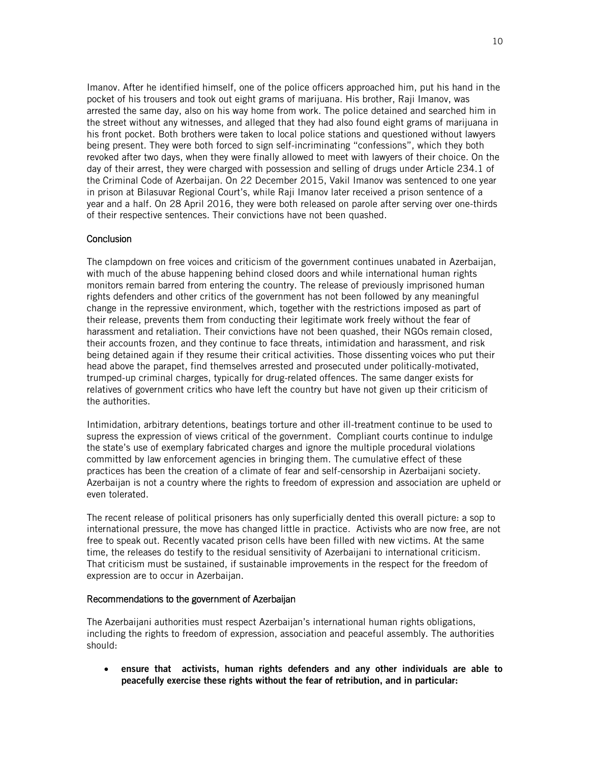Imanov. After he identified himself, one of the police officers approached him, put his hand in the pocket of his trousers and took out eight grams of marijuana. His brother, Raji Imanov, was arrested the same day, also on his way home from work. The police detained and searched him in the street without any witnesses, and alleged that they had also found eight grams of marijuana in his front pocket. Both brothers were taken to local police stations and questioned without lawyers being present. They were both forced to sign self-incriminating "confessions", which they both revoked after two days, when they were finally allowed to meet with lawyers of their choice. On the day of their arrest, they were charged with possession and selling of drugs under Article 234.1 of the Criminal Code of Azerbaijan. On 22 December 2015, Vakil Imanov was sentenced to one year in prison at Bilasuvar Regional Court's, while Raji Imanov later received a prison sentence of a year and a half. On 28 April 2016, they were both released on parole after serving over one-thirds of their respective sentences. Their convictions have not been quashed.

## **Conclusion**

The clampdown on free voices and criticism of the government continues unabated in Azerbaijan, with much of the abuse happening behind closed doors and while international human rights monitors remain barred from entering the country. The release of previously imprisoned human rights defenders and other critics of the government has not been followed by any meaningful change in the repressive environment, which, together with the restrictions imposed as part of their release, prevents them from conducting their legitimate work freely without the fear of harassment and retaliation. Their convictions have not been quashed, their NGOs remain closed, their accounts frozen, and they continue to face threats, intimidation and harassment, and risk being detained again if they resume their critical activities. Those dissenting voices who put their head above the parapet, find themselves arrested and prosecuted under politically-motivated, trumped-up criminal charges, typically for drug-related offences. The same danger exists for relatives of government critics who have left the country but have not given up their criticism of the authorities.

Intimidation, arbitrary detentions, beatings torture and other ill-treatment continue to be used to supress the expression of views critical of the government. Compliant courts continue to indulge the state's use of exemplary fabricated charges and ignore the multiple procedural violations committed by law enforcement agencies in bringing them. The cumulative effect of these practices has been the creation of a climate of fear and self-censorship in Azerbaijani society. Azerbaijan is not a country where the rights to freedom of expression and association are upheld or even tolerated.

The recent release of political prisoners has only superficially dented this overall picture: a sop to international pressure, the move has changed little in practice. Activists who are now free, are not free to speak out. Recently vacated prison cells have been filled with new victims. At the same time, the releases do testify to the residual sensitivity of Azerbaijani to international criticism. That criticism must be sustained, if sustainable improvements in the respect for the freedom of expression are to occur in Azerbaijan.

#### Recommendations to the government of Azerbaijan

The Azerbaijani authorities must respect Azerbaijan's international human rights obligations, including the rights to freedom of expression, association and peaceful assembly. The authorities should:

 ensure that activists, human rights defenders and any other individuals are able to peacefully exercise these rights without the fear of retribution, and in particular: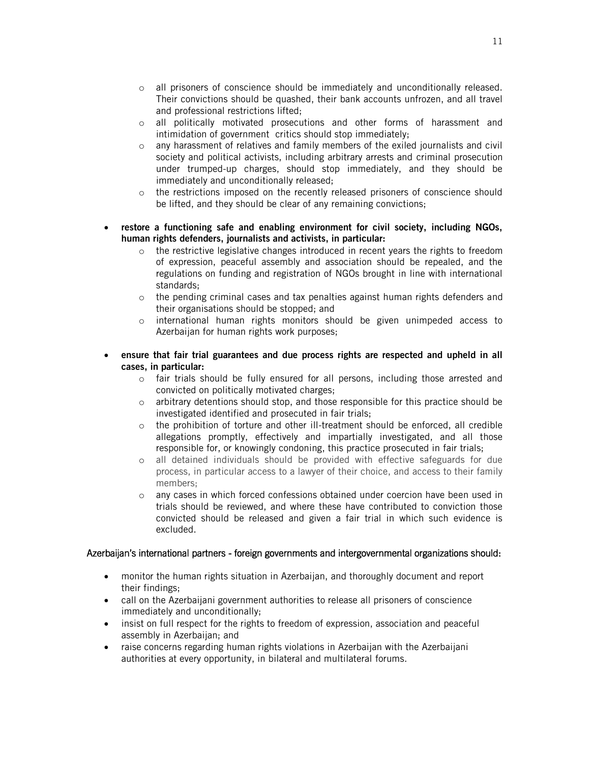- o all prisoners of conscience should be immediately and unconditionally released. Their convictions should be quashed, their bank accounts unfrozen, and all travel and professional restrictions lifted;
- o all politically motivated prosecutions and other forms of harassment and intimidation of government critics should stop immediately;
- o any harassment of relatives and family members of the exiled journalists and civil society and political activists, including arbitrary arrests and criminal prosecution under trumped-up charges, should stop immediately, and they should be immediately and unconditionally released;
- o the restrictions imposed on the recently released prisoners of conscience should be lifted, and they should be clear of any remaining convictions;
- restore a functioning safe and enabling environment for civil society, including NGOs, human rights defenders, journalists and activists, in particular:
	- $\circ$  the restrictive legislative changes introduced in recent years the rights to freedom of expression, peaceful assembly and association should be repealed, and the regulations on funding and registration of NGOs brought in line with international standards;
	- $\circ$  the pending criminal cases and tax penalties against human rights defenders and their organisations should be stopped; and
	- $\circ$  international human rights monitors should be given unimpeded access to Azerbaijan for human rights work purposes;
- ensure that fair trial guarantees and due process rights are respected and upheld in all cases, in particular:
	- o fair trials should be fully ensured for all persons, including those arrested and convicted on politically motivated charges;
	- $\circ$  arbitrary detentions should stop, and those responsible for this practice should be investigated identified and prosecuted in fair trials;
	- $\circ$  the prohibition of torture and other ill-treatment should be enforced, all credible allegations promptly, effectively and impartially investigated, and all those responsible for, or knowingly condoning, this practice prosecuted in fair trials;
	- o all detained individuals should be provided with effective safeguards for due process, in particular access to a lawyer of their choice, and access to their family members;
	- o any cases in which forced confessions obtained under coercion have been used in trials should be reviewed, and where these have contributed to conviction those convicted should be released and given a fair trial in which such evidence is excluded.

#### Azerbaijan's international partners - foreign governments and intergovernmental organizations should:

- monitor the human rights situation in Azerbaijan, and thoroughly document and report their findings;
- call on the Azerbaijani government authorities to release all prisoners of conscience immediately and unconditionally;
- insist on full respect for the rights to freedom of expression, association and peaceful assembly in Azerbaijan; and
- raise concerns regarding human rights violations in Azerbaijan with the Azerbaijani authorities at every opportunity, in bilateral and multilateral forums.